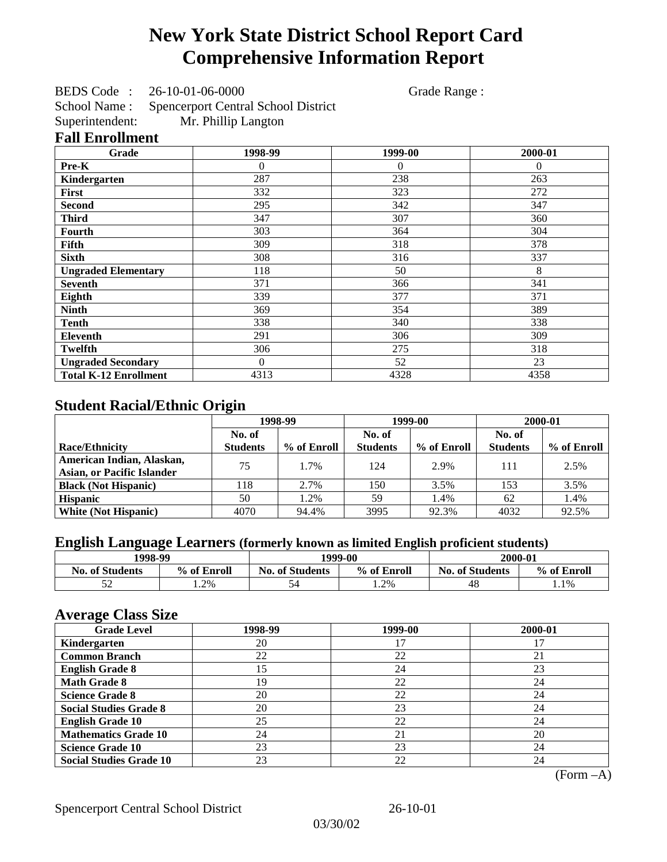# **New York State District School Report Card Comprehensive Information Report**

BEDS Code : 26-10-01-06-0000 Grade Range :

School Name : Spencerport Central School District<br>Superintendent: Mr. Phillip Langton Mr. Phillip Langton

### **Fall Enrollment**

| Grade                        | 1998-99  | 1999-00  | 2000-01  |
|------------------------------|----------|----------|----------|
| Pre-K                        | 0        | $\Omega$ | $\Omega$ |
| Kindergarten                 | 287      | 238      | 263      |
| First                        | 332      | 323      | 272      |
| <b>Second</b>                | 295      | 342      | 347      |
| <b>Third</b>                 | 347      | 307      | 360      |
| Fourth                       | 303      | 364      | 304      |
| Fifth                        | 309      | 318      | 378      |
| <b>Sixth</b>                 | 308      | 316      | 337      |
| <b>Ungraded Elementary</b>   | 118      | 50       | 8        |
| <b>Seventh</b>               | 371      | 366      | 341      |
| Eighth                       | 339      | 377      | 371      |
| <b>Ninth</b>                 | 369      | 354      | 389      |
| <b>Tenth</b>                 | 338      | 340      | 338      |
| <b>Eleventh</b>              | 291      | 306      | 309      |
| <b>Twelfth</b>               | 306      | 275      | 318      |
| <b>Ungraded Secondary</b>    | $\Omega$ | 52       | 23       |
| <b>Total K-12 Enrollment</b> | 4313     | 4328     | 4358     |

## **Student Racial/Ethnic Origin**

|                                   | 1998-99         |             | 1999-00         |             | 2000-01         |             |
|-----------------------------------|-----------------|-------------|-----------------|-------------|-----------------|-------------|
|                                   | No. of          |             | No. of          |             | No. of          |             |
| <b>Race/Ethnicity</b>             | <b>Students</b> | % of Enroll | <b>Students</b> | % of Enroll | <b>Students</b> | % of Enroll |
| American Indian, Alaskan,         | 75              | 1.7%        | 124             | 2.9%        | 111             | 2.5%        |
| <b>Asian, or Pacific Islander</b> |                 |             |                 |             |                 |             |
| <b>Black (Not Hispanic)</b>       | 118             | 2.7%        | 150             | 3.5%        | 153             | 3.5%        |
| <b>Hispanic</b>                   | 50              | 1.2%        | 59              | 1.4%        | 62              | 1.4%        |
| <b>White (Not Hispanic)</b>       | 4070            | 94.4%       | 3995            | 92.3%       | 4032            | 92.5%       |

## **English Language Learners (formerly known as limited English proficient students)**

|                        | 1998-99     |                        |             | 2000-01                |             |
|------------------------|-------------|------------------------|-------------|------------------------|-------------|
| <b>No. of Students</b> | % of Enroll | <b>No. of Students</b> | % of Enroll | <b>No. of Students</b> | % of Enroll |
|                        | 1.2%        |                        | 1.2%        | 48                     | $1.1\%$     |

### **Average Class Size**

| $\overline{\phantom{a}}$<br><b>Grade Level</b> | 1998-99 | 1999-00 | 2000-01 |
|------------------------------------------------|---------|---------|---------|
| Kindergarten                                   | 20      |         |         |
| <b>Common Branch</b>                           | 22      | 22      | 21      |
| <b>English Grade 8</b>                         | 15      | 24      | 23      |
| <b>Math Grade 8</b>                            | 19      | 22      | 24      |
| <b>Science Grade 8</b>                         | 20      | 22      | 24      |
| <b>Social Studies Grade 8</b>                  | 20      | 23      | 24      |
| <b>English Grade 10</b>                        | 25      | 22      | 24      |
| <b>Mathematics Grade 10</b>                    | 24      | 21      | 20      |
| <b>Science Grade 10</b>                        | 23      | 23      | 24      |
| <b>Social Studies Grade 10</b>                 | 23      | 22      | 24      |

(Form –A)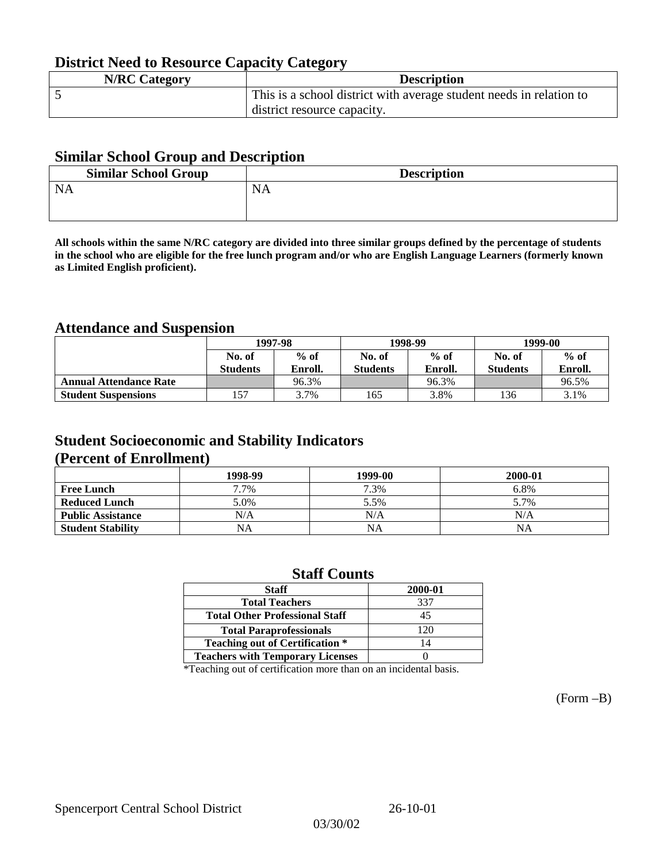## **District Need to Resource Capacity Category**

| <b>N/RC Category</b> | <b>Description</b>                                                  |
|----------------------|---------------------------------------------------------------------|
|                      | This is a school district with average student needs in relation to |
|                      | district resource capacity.                                         |

### **Similar School Group and Description**

| <b>Similar School Group</b> | <b>Description</b> |
|-----------------------------|--------------------|
| <b>NA</b>                   | <b>NA</b>          |
|                             |                    |

**All schools within the same N/RC category are divided into three similar groups defined by the percentage of students in the school who are eligible for the free lunch program and/or who are English Language Learners (formerly known as Limited English proficient).**

## **Attendance and Suspension**

|                               | 1997-98         |         |                 | 1998-99 | 1999-00         |         |
|-------------------------------|-----------------|---------|-----------------|---------|-----------------|---------|
|                               | No. of          | $%$ of  | No. of          | $%$ of  | No. of          | $%$ of  |
|                               | <b>Students</b> | Enroll. | <b>Students</b> | Enroll. | <b>Students</b> | Enroll. |
| <b>Annual Attendance Rate</b> |                 | 96.3%   |                 | 96.3%   |                 | 96.5%   |
| <b>Student Suspensions</b>    | 57ء             | 3.7%    | 165             | 3.8%    | !36             | 3.1%    |

### **Student Socioeconomic and Stability Indicators (Percent of Enrollment)**

|                          | 1998-99   | 1999-00   | 2000-01   |
|--------------------------|-----------|-----------|-----------|
| <b>Free Lunch</b>        | 7.7%      | 7.3%      | 6.8%      |
| <b>Reduced Lunch</b>     | 5.0%      | 5.5%      | 5.7%      |
| <b>Public Assistance</b> | N/A       | N/A       | N/A       |
| <b>Student Stability</b> | <b>NA</b> | <b>NA</b> | <b>NA</b> |

### **Staff Counts**

| <b>Staff</b>                            | 2000-01 |
|-----------------------------------------|---------|
| <b>Total Teachers</b>                   | 337     |
| <b>Total Other Professional Staff</b>   | 45      |
| <b>Total Paraprofessionals</b>          | 120     |
| <b>Teaching out of Certification *</b>  | 14      |
| <b>Teachers with Temporary Licenses</b> |         |

\*Teaching out of certification more than on an incidental basis.

(Form –B)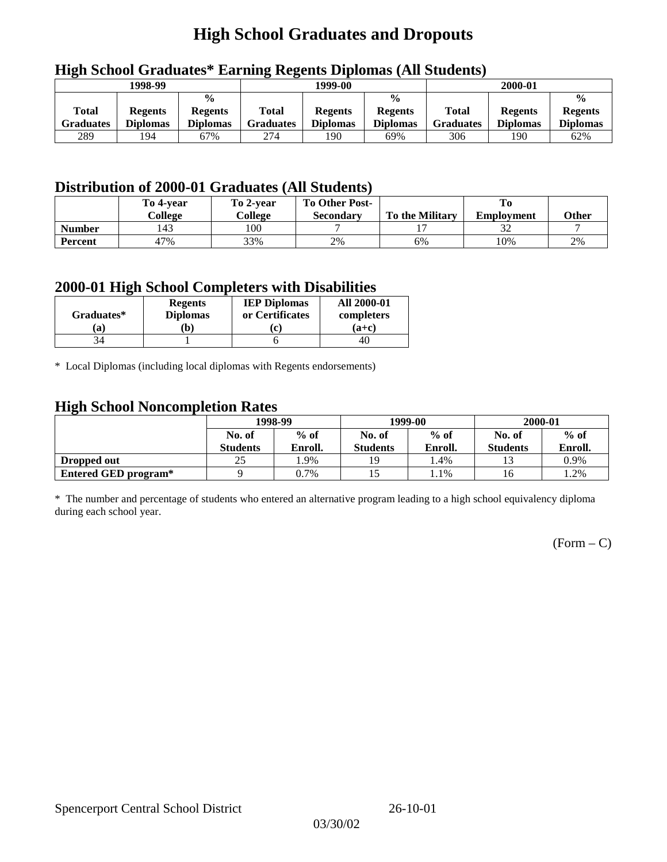## **High School Graduates and Dropouts**

|                           | 1998-99                           |                                                    |                           | 1999-00                           |                                                    |                                  | 2000-01                           |                                                    |
|---------------------------|-----------------------------------|----------------------------------------------------|---------------------------|-----------------------------------|----------------------------------------------------|----------------------------------|-----------------------------------|----------------------------------------------------|
| <b>Total</b><br>Graduates | <b>Regents</b><br><b>Diplomas</b> | $\frac{0}{0}$<br><b>Regents</b><br><b>Diplomas</b> | Total<br><b>Graduates</b> | <b>Regents</b><br><b>Diplomas</b> | $\frac{6}{6}$<br><b>Regents</b><br><b>Diplomas</b> | <b>Total</b><br><b>Graduates</b> | <b>Regents</b><br><b>Diplomas</b> | $\frac{0}{0}$<br><b>Regents</b><br><b>Diplomas</b> |
| 289                       | 194                               | 67%                                                | 274                       | 190                               | 69%                                                | 306                              | 190                               | 62%                                                |

## **High School Graduates\* Earning Regents Diplomas (All Students)**

## **Distribution of 2000-01 Graduates (All Students)**

|                | To 4-vear<br>College | To 2-year<br>College | <b>To Other Post-</b><br>Secondary | <b>To the Military</b> | <b>Employment</b> | <b>Other</b> |
|----------------|----------------------|----------------------|------------------------------------|------------------------|-------------------|--------------|
| <b>Number</b>  | 143                  | 100                  |                                    |                        |                   |              |
| <b>Percent</b> | 47%                  | 33%                  | 2%                                 | 6%                     | 10%               | 2%           |

### **2000-01 High School Completers with Disabilities**

| Graduates* | <b>Regents</b><br><b>Diplomas</b> | <b>IEP Diplomas</b><br>or Certificates | <b>All 2000-01</b><br>completers |
|------------|-----------------------------------|----------------------------------------|----------------------------------|
| 'a         | b)                                |                                        | $(a+c)$                          |
|            |                                   |                                        | 40                               |

\* Local Diplomas (including local diplomas with Regents endorsements)

### **High School Noncompletion Rates**

| ັ                    | 1998-99         |         |                 | 1999-00 | 2000-01         |         |
|----------------------|-----------------|---------|-----------------|---------|-----------------|---------|
|                      | No. of          | $%$ of  | No. of          | $%$ of  | No. of          | $%$ of  |
|                      | <b>Students</b> | Enroll. | <b>Students</b> | Enroll. | <b>Students</b> | Enroll. |
| Dropped out          | 25              | . .9%   | 19              | . 4%    |                 | 0.9%    |
| Entered GED program* |                 | 0.7%    |                 | 1.1%    | 16              | 1.2%    |

\* The number and percentage of students who entered an alternative program leading to a high school equivalency diploma during each school year.

 $(Form - C)$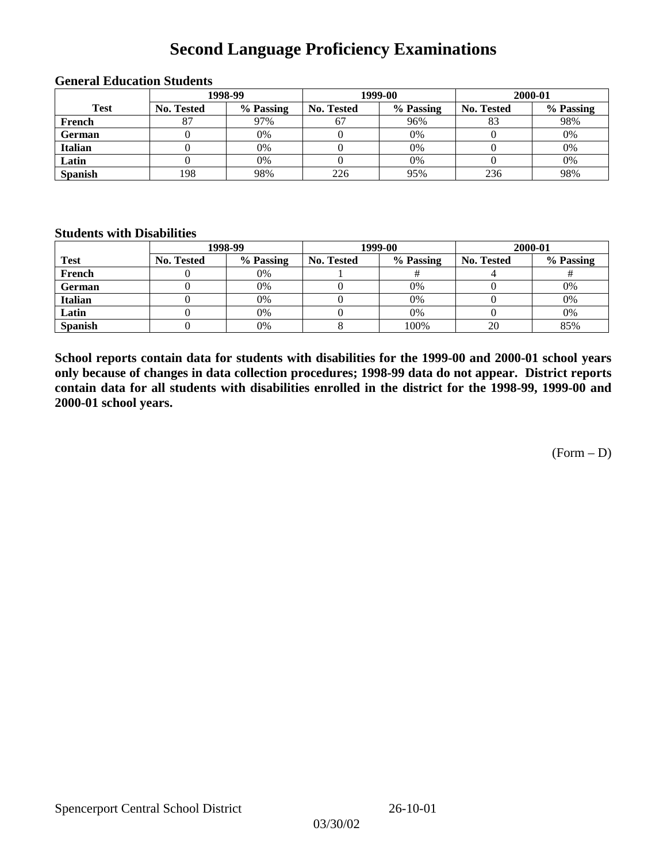## **Second Language Proficiency Examinations**

|                |            | 1998-99   |                   | 1999-00   | 2000-01           |           |  |
|----------------|------------|-----------|-------------------|-----------|-------------------|-----------|--|
| <b>Test</b>    | No. Tested | % Passing | <b>No. Tested</b> | % Passing | <b>No. Tested</b> | % Passing |  |
| French         |            | 97%       | 67                | 96%       | 83                | 98%       |  |
| <b>German</b>  |            | 0%        |                   | 0%        |                   | 0%        |  |
| <b>Italian</b> |            | 0%        |                   | 0%        |                   | 0%        |  |
| Latin          |            | 0%        |                   | 0%        |                   | 0%        |  |
| <b>Spanish</b> | 198        | 98%       | 226               | 95%       | 236               | 98%       |  |

#### **General Education Students**

### **Students with Disabilities**

|                | 1998-99    |           |                   | 1999-00   | 2000-01           |           |  |
|----------------|------------|-----------|-------------------|-----------|-------------------|-----------|--|
| <b>Test</b>    | No. Tested | % Passing | <b>No. Tested</b> | % Passing | <b>No. Tested</b> | % Passing |  |
| French         |            | $0\%$     |                   |           |                   |           |  |
| German         |            | 0%        |                   | 0%        |                   | 0%        |  |
| Italian        |            | 0%        |                   | 0%        |                   | 0%        |  |
| Latin          |            | 0%        |                   | 0%        |                   | 0%        |  |
| <b>Spanish</b> |            | 0%        |                   | 100%      | 20                | 85%       |  |

**School reports contain data for students with disabilities for the 1999-00 and 2000-01 school years only because of changes in data collection procedures; 1998-99 data do not appear. District reports contain data for all students with disabilities enrolled in the district for the 1998-99, 1999-00 and 2000-01 school years.**

 $(Form - D)$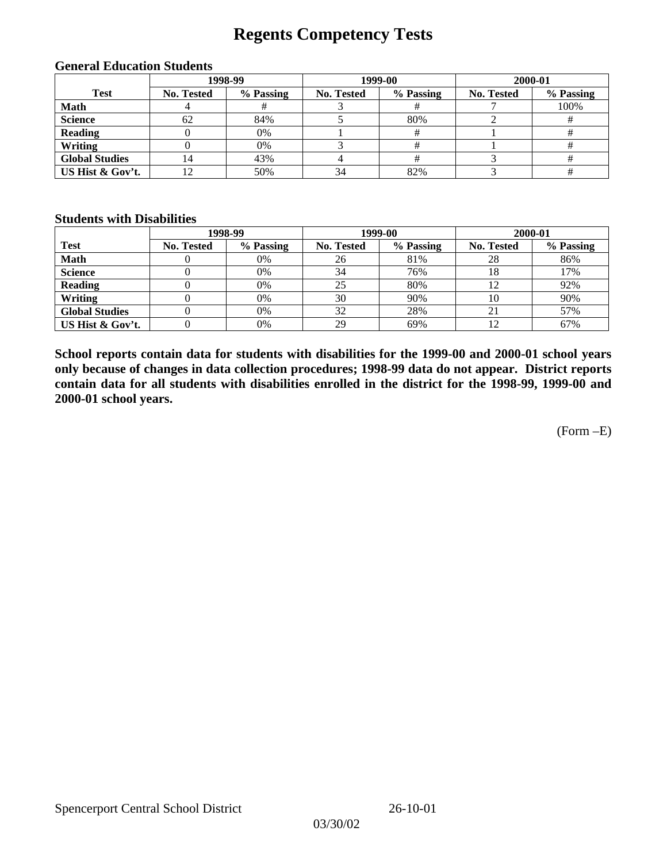## **Regents Competency Tests**

|                       |            | 1998-99   |            | 1999-00   | 2000-01    |           |  |
|-----------------------|------------|-----------|------------|-----------|------------|-----------|--|
| <b>Test</b>           | No. Tested | % Passing | No. Tested | % Passing | No. Tested | % Passing |  |
| <b>Math</b>           |            |           |            |           |            | 100%      |  |
| <b>Science</b>        | 62         | 84%       |            | 80%       |            |           |  |
| <b>Reading</b>        |            | 0%        |            |           |            |           |  |
| Writing               |            | 0%        |            |           |            |           |  |
| <b>Global Studies</b> | 4          | 43%       |            |           |            |           |  |
| US Hist & Gov't.      |            | 50%       | 34         | 82%       |            |           |  |

#### **General Education Students**

### **Students with Disabilities**

|                       |                   | 1998-99   | 1999-00           |           | 2000-01           |           |
|-----------------------|-------------------|-----------|-------------------|-----------|-------------------|-----------|
| <b>Test</b>           | <b>No. Tested</b> | % Passing | <b>No. Tested</b> | % Passing | <b>No. Tested</b> | % Passing |
| <b>Math</b>           |                   | 0%        | 26                | 81%       | 28                | 86%       |
| <b>Science</b>        |                   | 0%        | 34                | 76%       |                   | 17%       |
| <b>Reading</b>        |                   | 0%        | 25                | 80%       |                   | 92%       |
| Writing               |                   | 0%        | 30                | 90%       | 10                | 90%       |
| <b>Global Studies</b> |                   | 0%        | 32                | 28%       | 21                | 57%       |
| US Hist & Gov't.      |                   | 0%        | 29                | 69%       |                   | 67%       |

**School reports contain data for students with disabilities for the 1999-00 and 2000-01 school years only because of changes in data collection procedures; 1998-99 data do not appear. District reports contain data for all students with disabilities enrolled in the district for the 1998-99, 1999-00 and 2000-01 school years.**

(Form –E)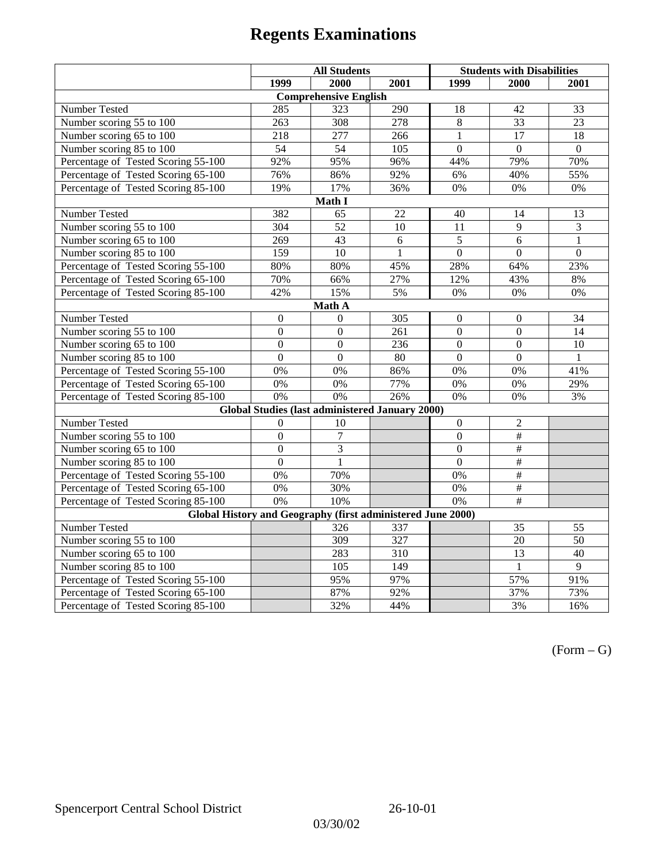|                                                             | <b>All Students</b> |                                                        |              | <b>Students with Disabilities</b> |                           |                 |  |  |  |
|-------------------------------------------------------------|---------------------|--------------------------------------------------------|--------------|-----------------------------------|---------------------------|-----------------|--|--|--|
|                                                             | 1999                | 2000                                                   | 2001         | 1999                              | 2000                      | 2001            |  |  |  |
|                                                             |                     | <b>Comprehensive English</b>                           |              |                                   |                           |                 |  |  |  |
| Number Tested                                               | 285                 | 323                                                    | 290          | 18                                | 42                        | 33              |  |  |  |
| Number scoring 55 to 100                                    | 263                 | 308                                                    | 278          | 8                                 | $\overline{33}$           | $\overline{23}$ |  |  |  |
| Number scoring 65 to 100                                    | 218                 | 277                                                    | 266          | $\overline{1}$                    | $\overline{17}$           | $\overline{18}$ |  |  |  |
| Number scoring 85 to 100                                    | 54                  | 54                                                     | 105          | $\theta$                          | $\Omega$                  | $\Omega$        |  |  |  |
| Percentage of Tested Scoring 55-100                         | 92%                 | 95%                                                    | 96%          | 44%                               | 79%                       | 70%             |  |  |  |
| Percentage of Tested Scoring 65-100                         | 76%                 | 86%                                                    | 92%          | 6%                                | 40%                       | 55%             |  |  |  |
| Percentage of Tested Scoring 85-100                         | 19%                 | 17%                                                    | 36%          | 0%                                | $0\%$                     | $0\%$           |  |  |  |
|                                                             |                     | Math I                                                 |              |                                   |                           |                 |  |  |  |
| Number Tested<br>382<br>65<br>22<br>40<br>14<br>13          |                     |                                                        |              |                                   |                           |                 |  |  |  |
| Number scoring 55 to 100                                    | 304                 | $\overline{52}$                                        | 10           | 11                                | $\mathbf{Q}$              | $\overline{3}$  |  |  |  |
| Number scoring 65 to 100                                    | 269                 | 43                                                     | 6            | 5                                 | 6                         | $\mathbf{1}$    |  |  |  |
| Number scoring 85 to 100                                    | 159                 | $\overline{10}$                                        | $\mathbf{1}$ | $\overline{0}$                    | $\overline{0}$            | $\overline{0}$  |  |  |  |
| Percentage of Tested Scoring 55-100                         | 80%                 | 80%                                                    | 45%          | 28%                               | 64%                       | 23%             |  |  |  |
| Percentage of Tested Scoring 65-100                         | 70%                 | 66%                                                    | 27%          | 12%                               | 43%                       | $8\%$           |  |  |  |
| Percentage of Tested Scoring 85-100                         | 42%                 | 15%                                                    | 5%           | 0%                                | $0\%$                     | $0\%$           |  |  |  |
| Math A                                                      |                     |                                                        |              |                                   |                           |                 |  |  |  |
| Number Tested                                               | $\boldsymbol{0}$    | $\Omega$                                               | 305          | $\overline{0}$                    | $\boldsymbol{0}$          | 34              |  |  |  |
| Number scoring 55 to 100                                    | $\overline{0}$      | $\overline{0}$                                         | 261          | $\overline{0}$                    | $\overline{0}$            | $\overline{14}$ |  |  |  |
| Number scoring 65 to 100                                    | $\boldsymbol{0}$    | $\mathbf{0}$                                           | 236          | $\overline{0}$                    | $\boldsymbol{0}$          | 10              |  |  |  |
| Number scoring 85 to 100                                    | $\mathbf{0}$        | $\mathbf{0}$                                           | $80\,$       | $\boldsymbol{0}$                  | $\boldsymbol{0}$          | $\mathbf{1}$    |  |  |  |
| Percentage of Tested Scoring 55-100                         | 0%                  | 0%                                                     | 86%          | 0%                                | 0%                        | 41%             |  |  |  |
| Percentage of Tested Scoring 65-100                         | 0%                  | 0%                                                     | 77%          | 0%                                | 0%                        | 29%             |  |  |  |
| Percentage of Tested Scoring 85-100                         | 0%                  | 0%                                                     | 26%          | 0%                                | 0%                        | 3%              |  |  |  |
|                                                             |                     | <b>Global Studies (last administered January 2000)</b> |              |                                   |                           |                 |  |  |  |
| Number Tested                                               | $\boldsymbol{0}$    | 10                                                     |              | $\mathbf{0}$                      | $\overline{c}$            |                 |  |  |  |
| Number scoring 55 to 100                                    | $\overline{0}$      | $\overline{7}$                                         |              | $\overline{0}$                    | $\overline{+}$            |                 |  |  |  |
| Number scoring 65 to 100                                    | $\mathbf{0}$        | $\overline{3}$                                         |              | $\overline{0}$                    | $\#$                      |                 |  |  |  |
| Number scoring 85 to 100                                    | $\mathbf{0}$        | 1                                                      |              | $\Omega$                          | #                         |                 |  |  |  |
| Percentage of Tested Scoring 55-100                         | 0%                  | 70%                                                    |              | $0\%$                             | $\overline{\#}$           |                 |  |  |  |
| Percentage of Tested Scoring 65-100                         | 0%                  | 30%                                                    |              | 0%                                | #                         |                 |  |  |  |
| Percentage of Tested Scoring 85-100                         | 0%                  | 10%                                                    |              | 0%                                | $\overline{\overline{t}}$ |                 |  |  |  |
| Global History and Geography (first administered June 2000) |                     |                                                        |              |                                   |                           |                 |  |  |  |
| Number Tested                                               |                     | 326                                                    | 337          |                                   | 35                        | 55              |  |  |  |
| Number scoring 55 to 100                                    |                     | 309                                                    | 327          |                                   | 20                        | $\overline{50}$ |  |  |  |
| Number scoring 65 to 100                                    |                     | 283                                                    | 310          |                                   | $\overline{13}$           | 40              |  |  |  |
| Number scoring 85 to 100                                    |                     | 105                                                    | 149          |                                   | $\mathbf{1}$              | 9               |  |  |  |
| Percentage of Tested Scoring 55-100                         |                     | 95%                                                    | 97%          |                                   | 57%                       | 91%             |  |  |  |
| Percentage of Tested Scoring 65-100                         |                     | 87%                                                    | 92%          |                                   | 37%                       | 73%             |  |  |  |
| Percentage of Tested Scoring 85-100                         |                     | 32%                                                    | 44%          |                                   | 3%                        | 16%             |  |  |  |

 $(Form - G)$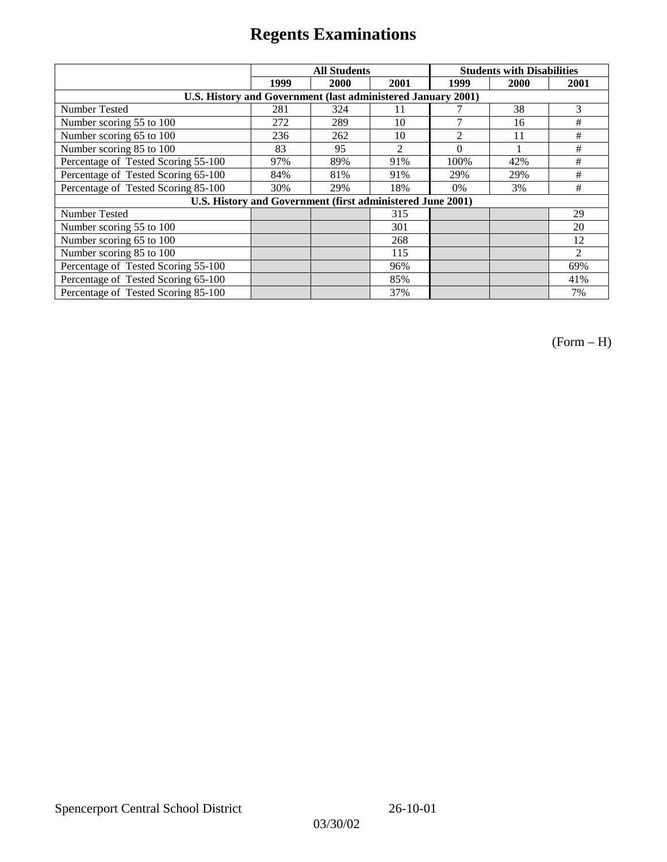|                                                              |      | <b>All Students</b> |                | <b>Students with Disabilities</b> |      |                |  |
|--------------------------------------------------------------|------|---------------------|----------------|-----------------------------------|------|----------------|--|
|                                                              | 1999 | 2000                | 2001           | 1999                              | 2000 | 2001           |  |
| U.S. History and Government (last administered January 2001) |      |                     |                |                                   |      |                |  |
| Number Tested                                                | 281  | 324                 | 11             |                                   | 38   | 3              |  |
| Number scoring 55 to 100                                     | 272  | 289                 | 10             | 7                                 | 16   | #              |  |
| Number scoring 65 to 100                                     | 236  | 262                 | 10             | $\overline{c}$                    | 11   | #              |  |
| Number scoring 85 to 100                                     | 83   | 95                  | $\overline{c}$ | $\Omega$                          |      | #              |  |
| Percentage of Tested Scoring 55-100                          | 97%  | 89%                 | 91%            | 100%                              | 42%  | #              |  |
| Percentage of Tested Scoring 65-100                          | 84%  | 81%                 | 91%            | 29%                               | 29%  | #              |  |
| Percentage of Tested Scoring 85-100                          | 30%  | 29%                 | 18%            | 0%                                | 3%   | #              |  |
| U.S. History and Government (first administered June 2001)   |      |                     |                |                                   |      |                |  |
| Number Tested                                                |      |                     | 315            |                                   |      | 29             |  |
| Number scoring 55 to 100                                     |      |                     | 301            |                                   |      | 20             |  |
| Number scoring 65 to 100                                     |      |                     | 268            |                                   |      | 12             |  |
| Number scoring 85 to 100                                     |      |                     | 115            |                                   |      | $\mathfrak{D}$ |  |
| Percentage of Tested Scoring 55-100                          |      |                     | 96%            |                                   |      | 69%            |  |
| Percentage of Tested Scoring 65-100                          |      |                     | 85%            |                                   |      | 41%            |  |
| Percentage of Tested Scoring 85-100                          |      |                     | 37%            |                                   |      | 7%             |  |

(Form – H)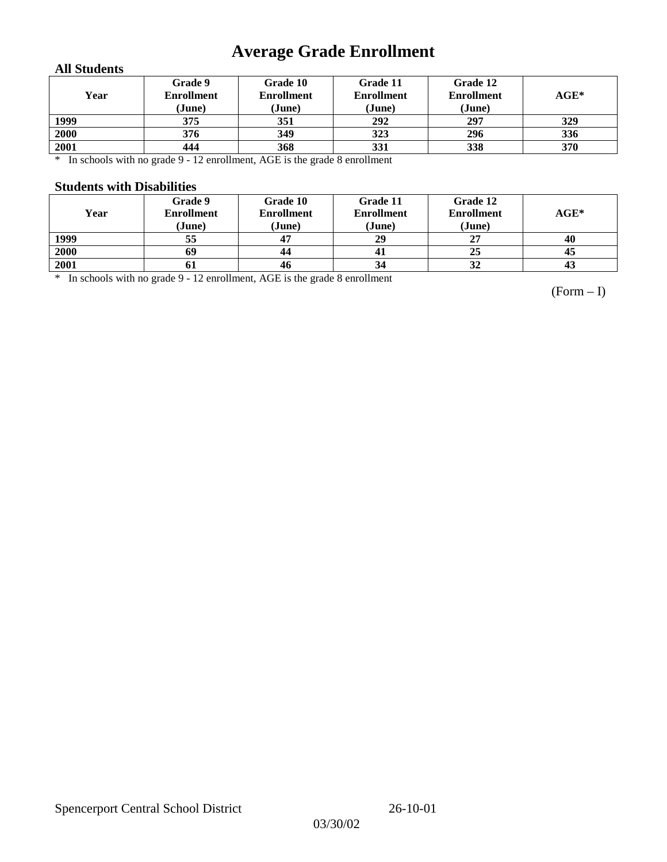# **Average Grade Enrollment**

### **All Students**

| Year | Grade 9<br><b>Enrollment</b><br>(June) | Grade 10<br><b>Enrollment</b><br>(June) | Grade 11<br><b>Enrollment</b><br>(June) | Grade 12<br><b>Enrollment</b><br>(June) | $AGE^*$ |
|------|----------------------------------------|-----------------------------------------|-----------------------------------------|-----------------------------------------|---------|
| 1999 | 375                                    | 351                                     | 292                                     | 297                                     | 329     |
| 2000 | 376                                    | 349                                     | 323                                     | 296                                     | 336     |
| 2001 | 444                                    | 368                                     | 331                                     | 338                                     | 370     |

\* In schools with no grade 9 - 12 enrollment, AGE is the grade 8 enrollment

### **Students with Disabilities**

| Year | Grade 9<br><b>Enrollment</b><br>(June) | Grade 10<br><b>Enrollment</b><br>(June) | Grade 11<br><b>Enrollment</b><br>(June) | Grade 12<br><b>Enrollment</b><br>(June) | $AGE^*$ |
|------|----------------------------------------|-----------------------------------------|-----------------------------------------|-----------------------------------------|---------|
| 1999 | 55                                     | 47                                      | 29                                      | 27                                      | 40      |
| 2000 | 69                                     | 44                                      |                                         | 25                                      | 45      |
| 2001 | 01                                     | 46                                      | 34                                      | 32                                      | 43      |

\* In schools with no grade 9 - 12 enrollment, AGE is the grade 8 enrollment

(Form – I)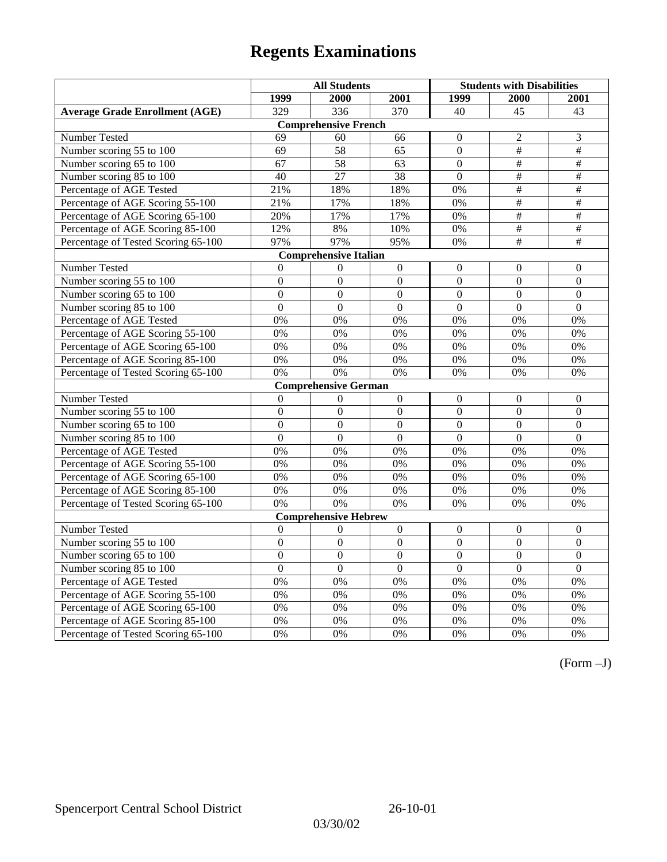|                                       | <b>All Students</b> |                              |                  | <b>Students with Disabilities</b> |                           |                          |
|---------------------------------------|---------------------|------------------------------|------------------|-----------------------------------|---------------------------|--------------------------|
|                                       | 1999                | 2000                         | 2001             | 1999                              | 2000                      | 2001                     |
| <b>Average Grade Enrollment (AGE)</b> | 329                 | 336                          | 370              | 40                                | 45                        | 43                       |
|                                       |                     | <b>Comprehensive French</b>  |                  |                                   |                           |                          |
| <b>Number Tested</b>                  | 69                  | 60                           | 66               | $\mathbf{0}$                      | 2                         | 3                        |
| Number scoring 55 to 100              | 69                  | 58                           | 65               | $\overline{0}$                    | $\overline{\overline{}}$  | $\overline{\overline{}}$ |
| Number scoring 65 to 100              | 67                  | 58                           | 63               | $\overline{0}$                    | $\#$                      | $\#$                     |
| Number scoring 85 to 100              | 40                  | 27                           | $\overline{38}$  | $\mathbf{0}$                      | $\overline{\#}$           | #                        |
| Percentage of AGE Tested              | 21%                 | 18%                          | 18%              | $0\%$                             | #                         | #                        |
| Percentage of AGE Scoring 55-100      | 21%                 | 17%                          | 18%              | 0%                                | $\#$                      | $\#$                     |
| Percentage of AGE Scoring 65-100      | 20%                 | 17%                          | 17%              | 0%                                | $\overline{\overline{t}}$ | $\#$                     |
| Percentage of AGE Scoring 85-100      | 12%                 | 8%                           | 10%              | $0\%$                             | $\overline{\#}$           | $\overline{\#}$          |
| Percentage of Tested Scoring 65-100   | 97%                 | 97%                          | 95%              | 0%                                | #                         | $\overline{\#}$          |
|                                       |                     | <b>Comprehensive Italian</b> |                  |                                   |                           |                          |
| Number Tested                         | $\theta$            | $\boldsymbol{0}$             | $\Omega$         | $\Omega$                          | $\Omega$                  | $\boldsymbol{0}$         |
| Number scoring 55 to 100              | $\boldsymbol{0}$    | $\boldsymbol{0}$             | $\boldsymbol{0}$ | $\overline{0}$                    | $\mathbf{0}$              | $\boldsymbol{0}$         |
| Number scoring 65 to 100              | $\mathbf{0}$        | $\overline{0}$               | $\overline{0}$   | $\overline{0}$                    | $\mathbf{0}$              | $\mathbf{0}$             |
| Number scoring 85 to 100              | $\overline{0}$      | $\overline{0}$               | $\overline{0}$   | $\overline{0}$                    | $\overline{0}$            | $\overline{0}$           |
| Percentage of AGE Tested              | 0%                  | 0%                           | 0%               | 0%                                | 0%                        | 0%                       |
| Percentage of AGE Scoring 55-100      | 0%                  | 0%                           | 0%               | 0%                                | 0%                        | 0%                       |
| Percentage of AGE Scoring 65-100      | 0%                  | 0%                           | 0%               | 0%                                | 0%                        | 0%                       |
| Percentage of AGE Scoring 85-100      | 0%                  | 0%                           | 0%               | 0%                                | 0%                        | 0%                       |
| Percentage of Tested Scoring 65-100   | 0%                  | 0%                           | 0%               | 0%                                | 0%                        | 0%                       |
|                                       |                     | <b>Comprehensive German</b>  |                  |                                   |                           |                          |
| Number Tested                         | $\overline{0}$      | $\mathbf{0}$                 | $\overline{0}$   | $\mathbf{0}$                      | $\mathbf{0}$              | $\boldsymbol{0}$         |
| Number scoring 55 to 100              | $\mathbf{0}$        | $\mathbf{0}$                 | $\overline{0}$   | $\overline{0}$                    | $\theta$                  | $\mathbf{0}$             |
| Number scoring 65 to 100              | $\overline{0}$      | $\overline{0}$               | $\overline{0}$   | $\overline{0}$                    | $\overline{0}$            | $\boldsymbol{0}$         |
| Number scoring 85 to 100              | $\overline{0}$      | $\overline{0}$               | $\overline{0}$   | $\overline{0}$                    | $\overline{0}$            | $\overline{0}$           |
| Percentage of AGE Tested              | 0%                  | 0%                           | 0%               | 0%                                | 0%                        | 0%                       |
| Percentage of AGE Scoring 55-100      | 0%                  | 0%                           | 0%               | 0%                                | 0%                        | 0%                       |
| Percentage of AGE Scoring 65-100      | 0%                  | 0%                           | 0%               | 0%                                | 0%                        | 0%                       |
| Percentage of AGE Scoring 85-100      | 0%                  | 0%                           | 0%               | 0%                                | 0%                        | 0%                       |
| Percentage of Tested Scoring 65-100   | 0%                  | 0%                           | $0\%$            | 0%                                | 0%                        | 0%                       |
|                                       |                     | <b>Comprehensive Hebrew</b>  |                  |                                   |                           |                          |
| Number Tested                         | $\boldsymbol{0}$    | $\boldsymbol{0}$             | $\boldsymbol{0}$ | $\mathbf{0}$                      | $\mathbf{0}$              | $\boldsymbol{0}$         |
| Number scoring 55 to 100              | $\overline{0}$      | $\overline{0}$               | $\overline{0}$   | $\overline{0}$                    | $\overline{0}$            | $\overline{0}$           |
| Number scoring 65 to 100              | $\mathbf{0}$        | $\mathbf{0}$                 | $\Omega$         | $\mathbf{0}$                      | $\boldsymbol{0}$          | $\boldsymbol{0}$         |
| Number scoring 85 to 100              | $\overline{0}$      | $\overline{0}$               | $\overline{0}$   | $\overline{0}$                    | $\overline{0}$            | $\overline{0}$           |
| Percentage of AGE Tested              | $\overline{0\%}$    | 0%                           | 0%               | 0%                                | 0%                        | 0%                       |
| Percentage of AGE Scoring 55-100      | 0%                  | 0%                           | 0%               | 0%                                | 0%                        | 0%                       |
| Percentage of AGE Scoring 65-100      | 0%                  | 0%                           | 0%               | 0%                                | 0%                        | 0%                       |
| Percentage of AGE Scoring 85-100      | 0%                  | 0%                           | 0%               | $0\%$                             | 0%                        | 0%                       |
| Percentage of Tested Scoring 65-100   | 0%                  | 0%                           | 0%               | 0%                                | 0%                        | 0%                       |

(Form –J)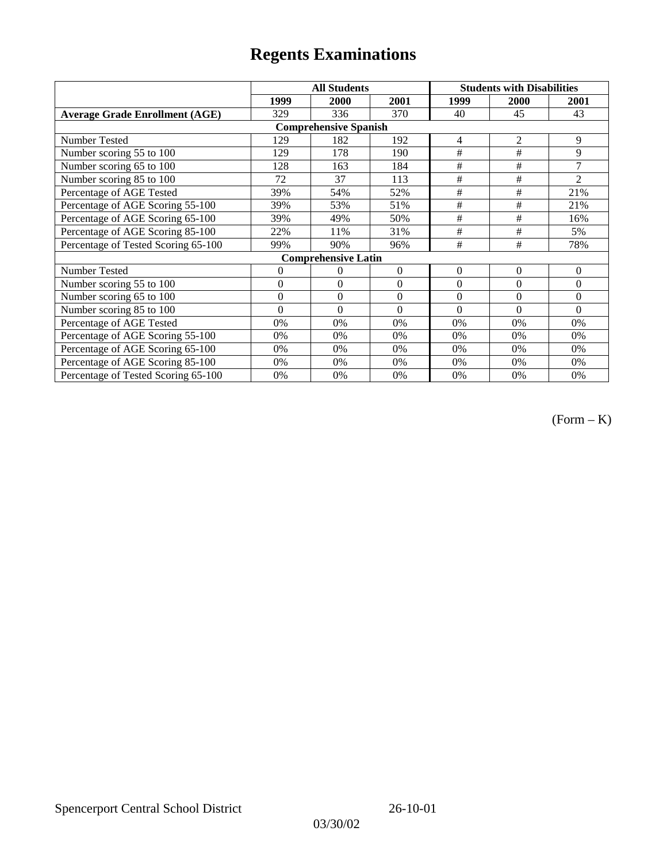|                                       |              | <b>All Students</b>        |          | <b>Students with Disabilities</b> |                |                |  |  |
|---------------------------------------|--------------|----------------------------|----------|-----------------------------------|----------------|----------------|--|--|
|                                       | 1999         | 2000                       | 2001     | 1999                              | 2000           | 2001           |  |  |
| <b>Average Grade Enrollment (AGE)</b> | 329          | 336                        | 370      | 40                                | 45             | 43             |  |  |
| <b>Comprehensive Spanish</b>          |              |                            |          |                                   |                |                |  |  |
| Number Tested                         | 129          | 182                        | 192      | 4                                 | 2              | 9              |  |  |
| Number scoring 55 to 100              | 129          | 178                        | 190      | #                                 | $\#$           | 9              |  |  |
| Number scoring 65 to 100              | 128          | 163                        | 184      | #                                 | #              | 7              |  |  |
| Number scoring 85 to 100              | 72           | 37                         | 113      | #                                 | #              | $\overline{2}$ |  |  |
| Percentage of AGE Tested              | 39%          | 54%                        | 52%      | #                                 | #              | 21%            |  |  |
| Percentage of AGE Scoring 55-100      | 39%          | 53%                        | 51%      | #                                 | #              | 21%            |  |  |
| Percentage of AGE Scoring 65-100      | 39%          | 49%                        | 50%      | #                                 | #              | 16%            |  |  |
| Percentage of AGE Scoring 85-100      | 22%          | 11%                        | 31%      | #                                 | #              | 5%             |  |  |
| Percentage of Tested Scoring 65-100   | 99%          | 90%                        | 96%      | #                                 | #              | 78%            |  |  |
|                                       |              | <b>Comprehensive Latin</b> |          |                                   |                |                |  |  |
| Number Tested                         | 0            | 0                          | $\Omega$ | $\overline{0}$                    | $\overline{0}$ | $\theta$       |  |  |
| Number scoring 55 to 100              | $\mathbf{0}$ | $\mathbf{0}$               | $\theta$ | $\overline{0}$                    | $\overline{0}$ | $\theta$       |  |  |
| Number scoring 65 to 100              | $\mathbf{0}$ | $\boldsymbol{0}$           | $\theta$ | $\Omega$                          | $\theta$       | $\Omega$       |  |  |
| Number scoring 85 to 100              | $\theta$     | $\Omega$                   | $\Omega$ | $\Omega$                          | $\theta$       | $\Omega$       |  |  |
| Percentage of AGE Tested              | 0%           | 0%                         | 0%       | 0%                                | 0%             | 0%             |  |  |
| Percentage of AGE Scoring 55-100      | 0%           | 0%                         | 0%       | 0%                                | 0%             | 0%             |  |  |
| Percentage of AGE Scoring 65-100      | 0%           | $0\%$                      | 0%       | 0%                                | 0%             | 0%             |  |  |
| Percentage of AGE Scoring 85-100      | 0%           | 0%                         | 0%       | 0%                                | 0%             | 0%             |  |  |
| Percentage of Tested Scoring 65-100   | 0%           | 0%                         | 0%       | 0%                                | 0%             | 0%             |  |  |

(Form – K)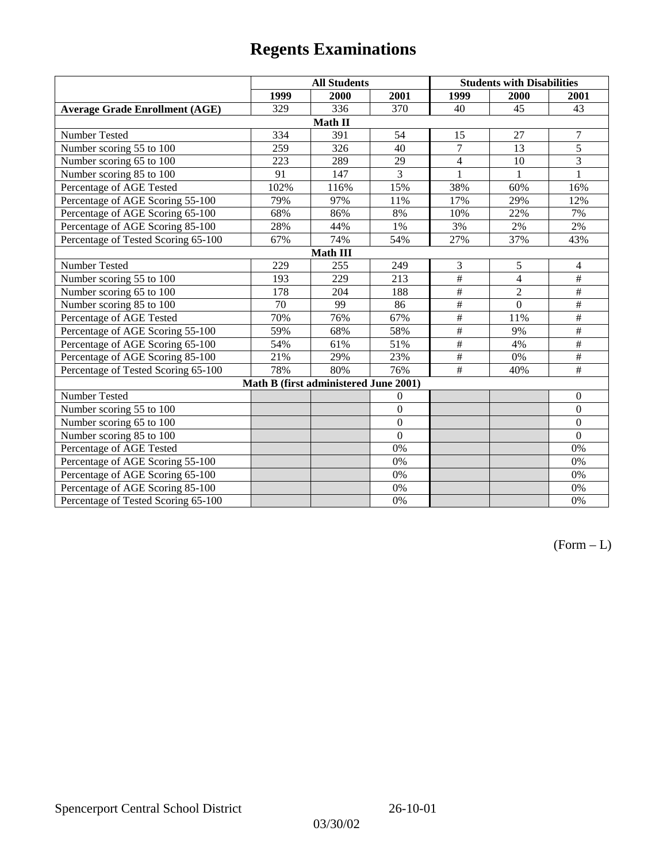|                                       | <b>All Students</b> |                                       |                | <b>Students with Disabilities</b> |                 |                          |  |  |
|---------------------------------------|---------------------|---------------------------------------|----------------|-----------------------------------|-----------------|--------------------------|--|--|
|                                       | 1999                | 2000                                  | 2001           | 1999                              | 2000            | 2001                     |  |  |
| <b>Average Grade Enrollment (AGE)</b> | 329                 | 336                                   | 370            | 40                                | 45              | 43                       |  |  |
|                                       |                     | Math II                               |                |                                   |                 |                          |  |  |
| Number Tested                         | 334                 | 391                                   | 54             | 15                                | 27              | 7                        |  |  |
| Number scoring 55 to 100              | 259                 | 326                                   | 40             | $\overline{7}$                    | $\overline{13}$ | $\overline{5}$           |  |  |
| Number scoring 65 to 100              | 223                 | 289                                   | 29             | $\overline{4}$                    | 10              | $\overline{3}$           |  |  |
| Number scoring 85 to 100              | 91                  | 147                                   | $\overline{3}$ | 1                                 |                 | $\mathbf{1}$             |  |  |
| Percentage of AGE Tested              | 102%                | 116%                                  | 15%            | 38%                               | 60%             | 16%                      |  |  |
| Percentage of AGE Scoring 55-100      | 79%                 | 97%                                   | 11%            | 17%                               | 29%             | 12%                      |  |  |
| Percentage of AGE Scoring 65-100      | 68%                 | 86%                                   | 8%             | 10%                               | 22%             | 7%                       |  |  |
| Percentage of AGE Scoring 85-100      | 28%                 | 44%                                   | 1%             | 3%                                | 2%              | 2%                       |  |  |
| Percentage of Tested Scoring 65-100   | 67%                 | 74%                                   | 54%            | 27%                               | 37%             | 43%                      |  |  |
| <b>Math III</b>                       |                     |                                       |                |                                   |                 |                          |  |  |
| Number Tested                         | 229                 | 255                                   | 249            | 3                                 | 5               | $\overline{4}$           |  |  |
| Number scoring 55 to 100              | 193                 | 229                                   | 213            | #                                 | $\overline{4}$  | $\overline{\#}$          |  |  |
| Number scoring 65 to 100              | 178                 | 204                                   | 188            | $\frac{1}{2}$                     | $\overline{2}$  | $\#$                     |  |  |
| Number scoring 85 to 100              | 70                  | 99                                    | 86             | $\#$                              | $\theta$        | $\overline{\overline{}}$ |  |  |
| Percentage of AGE Tested              | 70%                 | 76%                                   | 67%            | $\frac{1}{2}$                     | 11%             | $\#$                     |  |  |
| Percentage of AGE Scoring 55-100      | 59%                 | 68%                                   | 58%            | $\overline{\#}$                   | 9%              | #                        |  |  |
| Percentage of AGE Scoring 65-100      | 54%                 | 61%                                   | 51%            | $\frac{1}{2}$                     | 4%              | $\overline{\overline{}}$ |  |  |
| Percentage of AGE Scoring 85-100      | 21%                 | 29%                                   | 23%            | $\#$                              | 0%              | $\#$                     |  |  |
| Percentage of Tested Scoring 65-100   | 78%                 | 80%                                   | 76%            | #                                 | 40%             | #                        |  |  |
|                                       |                     | Math B (first administered June 2001) |                |                                   |                 |                          |  |  |
| Number Tested                         |                     |                                       | $\overline{0}$ |                                   |                 | $\theta$                 |  |  |
| Number scoring 55 to 100              |                     |                                       | $\overline{0}$ |                                   |                 | $\Omega$                 |  |  |
| Number scoring 65 to 100              |                     |                                       | $\overline{0}$ |                                   |                 | $\mathbf{0}$             |  |  |
| Number scoring 85 to 100              |                     |                                       | $\theta$       |                                   |                 | $\mathbf{0}$             |  |  |
| Percentage of AGE Tested              |                     |                                       | 0%             |                                   |                 | 0%                       |  |  |
| Percentage of AGE Scoring 55-100      |                     |                                       | 0%             |                                   |                 | 0%                       |  |  |
| Percentage of AGE Scoring 65-100      |                     |                                       | 0%             |                                   |                 | 0%                       |  |  |
| Percentage of AGE Scoring 85-100      |                     |                                       | 0%             |                                   |                 | 0%                       |  |  |
| Percentage of Tested Scoring 65-100   |                     |                                       | 0%             |                                   |                 | 0%                       |  |  |

 $(Form - L)$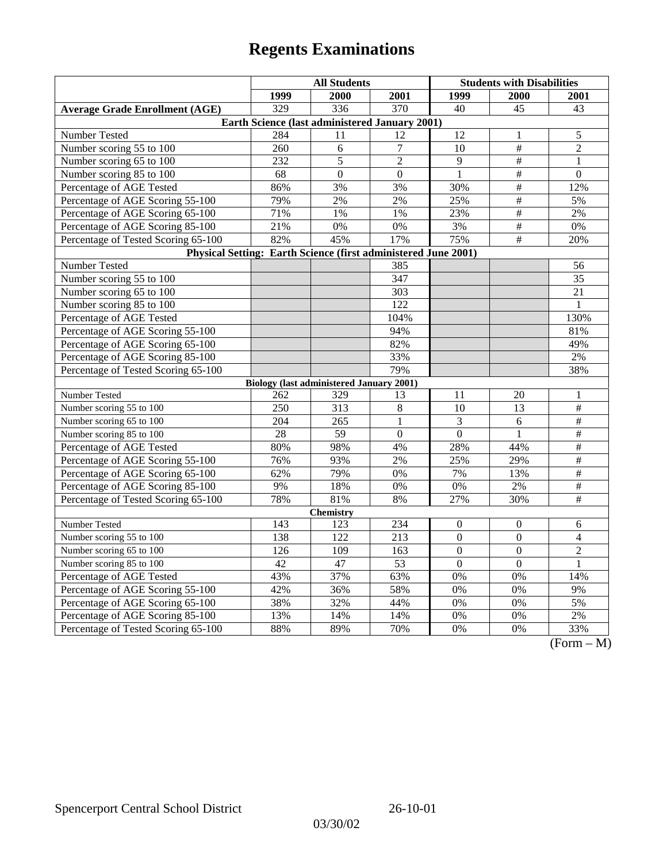|                                                                | <b>All Students</b> |                                                 |                  | <b>Students with Disabilities</b> |                          |                                                 |  |  |
|----------------------------------------------------------------|---------------------|-------------------------------------------------|------------------|-----------------------------------|--------------------------|-------------------------------------------------|--|--|
|                                                                | 1999                | 2000                                            | 2001             | 1999                              | 2000                     | 2001                                            |  |  |
| <b>Average Grade Enrollment (AGE)</b>                          | 329                 | 336                                             | 370              | 40                                | 45                       | 43                                              |  |  |
| Earth Science (last administered January 2001)                 |                     |                                                 |                  |                                   |                          |                                                 |  |  |
| Number Tested                                                  | 284                 | 11                                              | 12               | 12                                | 1                        | 5                                               |  |  |
| Number scoring 55 to 100                                       | 260                 | 6                                               | $\overline{7}$   | 10                                | #                        | $\overline{c}$                                  |  |  |
| Number scoring 65 to 100                                       | 232                 | 5                                               | $\overline{2}$   | 9                                 | $\overline{\#}$          | 1                                               |  |  |
| Number scoring 85 to 100                                       | 68                  | $\boldsymbol{0}$                                | $\mathbf{0}$     | $\mathbf{1}$                      | $\#$                     | $\mathbf{0}$                                    |  |  |
| Percentage of AGE Tested                                       | 86%                 | 3%                                              | 3%               | 30%                               | $\#$                     | 12%                                             |  |  |
| Percentage of AGE Scoring 55-100                               | 79%                 | 2%                                              | 2%               | 25%                               | $\overline{\overline{}}$ | 5%                                              |  |  |
| Percentage of AGE Scoring 65-100                               | 71%                 | 1%                                              | 1%               | 23%                               | $\overline{\overline{}}$ | 2%                                              |  |  |
| Percentage of AGE Scoring 85-100                               | 21%                 | 0%                                              | $0\%$            | 3%                                | #                        | 0%                                              |  |  |
| Percentage of Tested Scoring 65-100                            | 82%                 | 45%                                             | 17%              | 75%                               | #                        | 20%                                             |  |  |
| Physical Setting: Earth Science (first administered June 2001) |                     |                                                 |                  |                                   |                          |                                                 |  |  |
| Number Tested                                                  |                     |                                                 | 385              |                                   |                          | 56                                              |  |  |
| Number scoring 55 to 100                                       |                     |                                                 | 347              |                                   |                          | 35                                              |  |  |
| Number scoring 65 to 100                                       |                     |                                                 | $\overline{303}$ |                                   |                          | 21                                              |  |  |
| Number scoring 85 to 100                                       |                     |                                                 | 122              |                                   |                          | 1                                               |  |  |
| Percentage of AGE Tested                                       |                     |                                                 | 104%             |                                   |                          | 130%                                            |  |  |
| Percentage of AGE Scoring 55-100                               |                     |                                                 | 94%              |                                   |                          | 81%                                             |  |  |
| Percentage of AGE Scoring 65-100                               |                     |                                                 | 82%              |                                   |                          | 49%                                             |  |  |
| Percentage of AGE Scoring 85-100                               |                     |                                                 | 33%              |                                   |                          | $2\%$                                           |  |  |
| Percentage of Tested Scoring 65-100                            |                     |                                                 | 79%              |                                   |                          | 38%                                             |  |  |
|                                                                |                     | <b>Biology (last administered January 2001)</b> |                  |                                   |                          |                                                 |  |  |
| Number Tested                                                  | 262                 | 329                                             | 13               | 11                                | 20                       | $\mathbf{1}$                                    |  |  |
| Number scoring 55 to 100                                       | 250                 | 313                                             | 8                | 10                                | 13                       | #                                               |  |  |
| Number scoring 65 to 100                                       | $\overline{204}$    | 265                                             | $\mathbf{1}$     | 3                                 | 6                        | $\#$                                            |  |  |
| Number scoring 85 to 100                                       | 28                  | 59                                              | $\Omega$         | $\theta$                          | 1                        | $\#$                                            |  |  |
| Percentage of AGE Tested                                       | 80%                 | 98%                                             | 4%               | 28%                               | 44%                      | $\#$                                            |  |  |
| Percentage of AGE Scoring 55-100                               | 76%                 | 93%                                             | 2%               | 25%                               | 29%                      | $\overline{\#}$                                 |  |  |
| Percentage of AGE Scoring 65-100                               | 62%                 | 79%                                             | 0%               | 7%                                | 13%                      | $\#$                                            |  |  |
| Percentage of AGE Scoring 85-100                               | 9%                  | 18%                                             | 0%               | 0%                                | 2%                       | $\overline{\#}$                                 |  |  |
| Percentage of Tested Scoring 65-100                            | 78%                 | 81%                                             | 8%               | 27%                               | 30%                      | $\overline{\#}$                                 |  |  |
| Chemistry                                                      |                     |                                                 |                  |                                   |                          |                                                 |  |  |
| Number Tested                                                  | 143                 | 123                                             | 234              | $\boldsymbol{0}$                  | $\boldsymbol{0}$         | 6                                               |  |  |
| Number scoring 55 to 100                                       | 138                 | 122                                             | 213              | $\mathbf{0}$                      | $\mathbf{0}$             | $\overline{4}$                                  |  |  |
| Number scoring 65 to 100                                       | 126                 | 109                                             | 163              | $\overline{0}$                    | $\overline{0}$           | $\overline{c}$                                  |  |  |
| Number scoring 85 to 100                                       | 42                  | 47                                              | 53               | $\overline{0}$                    | $\mathbf{0}$             | $\mathbf{1}$                                    |  |  |
| Percentage of AGE Tested                                       | 43%                 | 37%                                             | 63%              | 0%                                | 0%                       | 14%                                             |  |  |
| Percentage of AGE Scoring 55-100                               | 42%                 | 36%                                             | 58%              | 0%                                | 0%                       | 9%                                              |  |  |
| Percentage of AGE Scoring 65-100                               | 38%                 | 32%                                             | 44%              | 0%                                | 0%                       | 5%                                              |  |  |
| Percentage of AGE Scoring 85-100                               | 13%                 | 14%                                             | 14%              | 0%                                | 0%                       | $2\%$                                           |  |  |
| Percentage of Tested Scoring 65-100                            | 88%                 | 89%                                             | 70%              | 0%                                | 0%                       | 33%<br>$\sqrt{\Gamma_{\alpha}}$<br>$\mathbf{M}$ |  |  |

(Form – M)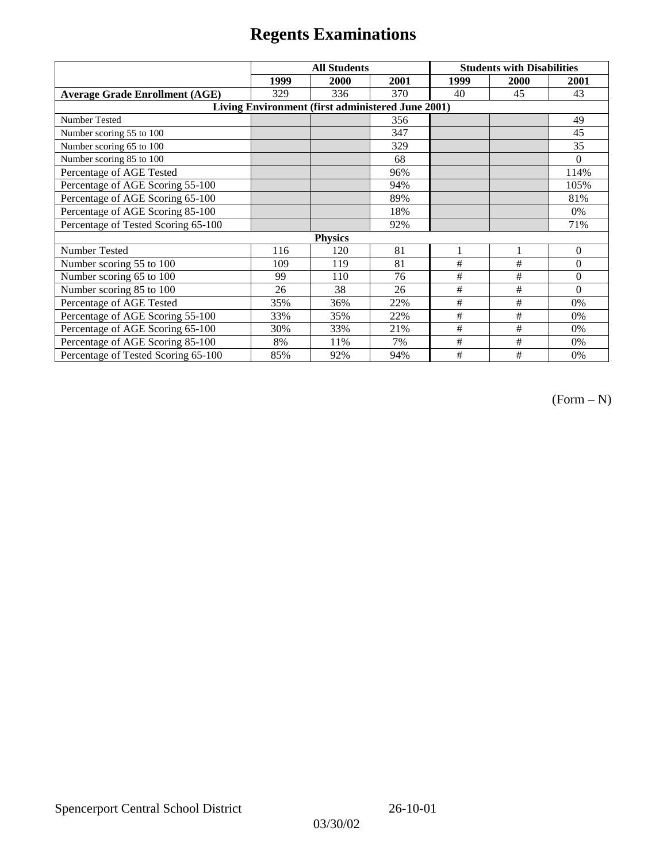|                                                   | <b>All Students</b> |      |      | <b>Students with Disabilities</b> |      |          |  |  |
|---------------------------------------------------|---------------------|------|------|-----------------------------------|------|----------|--|--|
|                                                   | 1999                | 2000 | 2001 | 1999                              | 2000 | 2001     |  |  |
| <b>Average Grade Enrollment (AGE)</b>             | 329                 | 336  | 370  | 40                                | 45   | 43       |  |  |
| Living Environment (first administered June 2001) |                     |      |      |                                   |      |          |  |  |
| Number Tested                                     |                     |      | 356  |                                   |      | 49       |  |  |
| Number scoring 55 to 100                          |                     |      | 347  |                                   |      | 45       |  |  |
| Number scoring 65 to 100                          |                     |      | 329  |                                   |      | 35       |  |  |
| Number scoring 85 to 100                          |                     |      | 68   |                                   |      | $\theta$ |  |  |
| Percentage of AGE Tested                          |                     |      | 96%  |                                   |      | 114%     |  |  |
| Percentage of AGE Scoring 55-100                  |                     |      | 94%  |                                   |      | 105%     |  |  |
| Percentage of AGE Scoring 65-100                  |                     |      | 89%  |                                   |      | 81%      |  |  |
| Percentage of AGE Scoring 85-100                  |                     |      | 18%  |                                   |      | 0%       |  |  |
| Percentage of Tested Scoring 65-100               |                     |      | 92%  |                                   |      | 71%      |  |  |
| <b>Physics</b>                                    |                     |      |      |                                   |      |          |  |  |
| Number Tested                                     | 116                 | 120  | 81   |                                   | 1    | $\theta$ |  |  |
| Number scoring 55 to 100                          | 109                 | 119  | 81   | #                                 | #    | $\theta$ |  |  |
| Number scoring 65 to 100                          | 99                  | 110  | 76   | #                                 | #    | $\theta$ |  |  |
| Number scoring 85 to 100                          | 26                  | 38   | 26   | #                                 | #    | $\Omega$ |  |  |
| Percentage of AGE Tested                          | 35%                 | 36%  | 22%  | #                                 | #    | 0%       |  |  |
| Percentage of AGE Scoring 55-100                  | 33%                 | 35%  | 22%  | $\#$                              | $\#$ | 0%       |  |  |
| Percentage of AGE Scoring 65-100                  | 30%                 | 33%  | 21%  | #                                 | #    | 0%       |  |  |
| Percentage of AGE Scoring 85-100                  | 8%                  | 11%  | 7%   | #                                 | #    | 0%       |  |  |
| Percentage of Tested Scoring 65-100               | 85%                 | 92%  | 94%  | #                                 | #    | 0%       |  |  |

(Form – N)